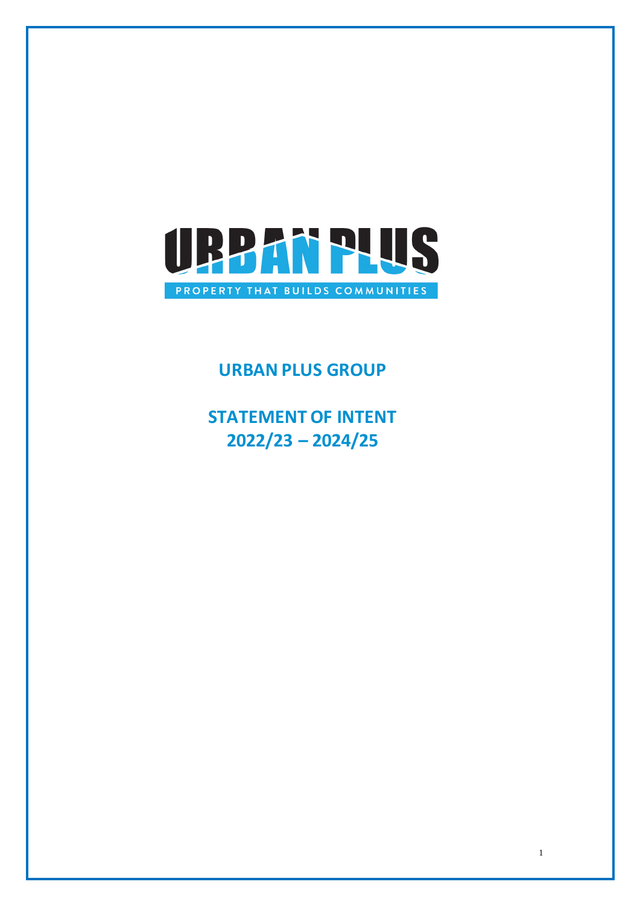

# **URBAN PLUS GROUP**

**STATEMENT OF INTENT 2022/23 – 2024/25**

1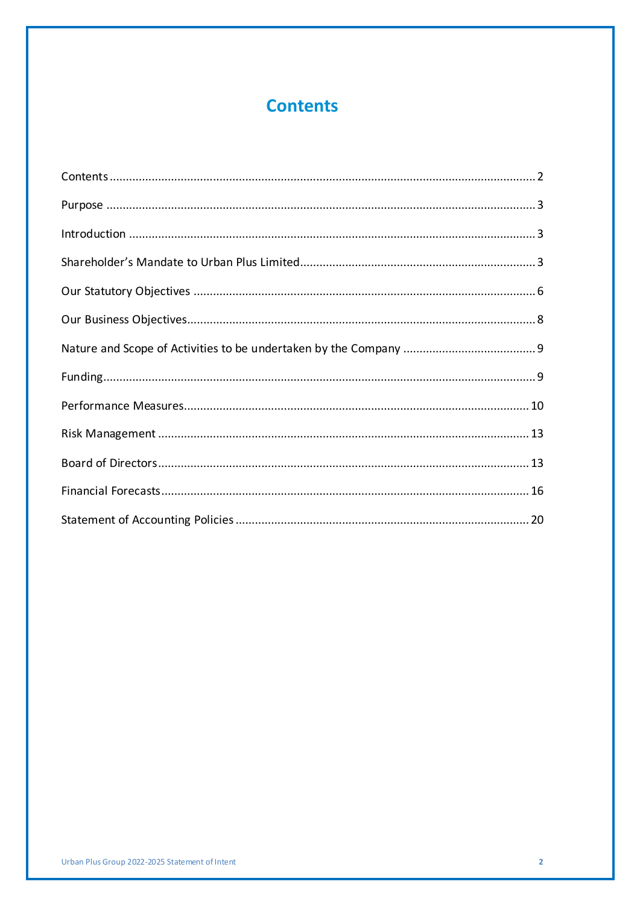# **Contents**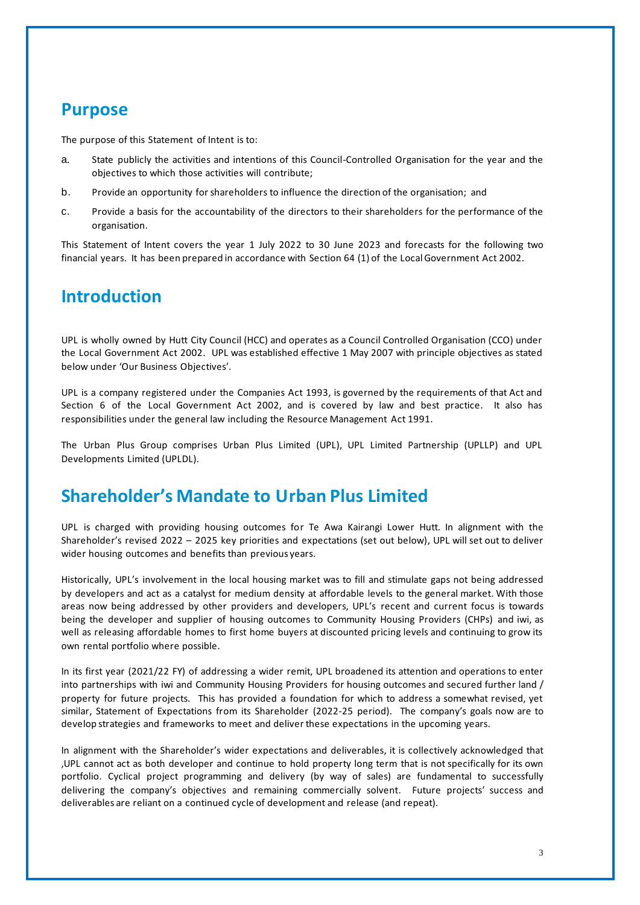# **Purpose**

The purpose of this Statement of Intent is to:

- a. State publicly the activities and intentions of this Council-Controlled Organisation for the year and the objectives to which those activities will contribute;
- b. Provide an opportunity for shareholders to influence the direction of the organisation; and
- c. Provide a basis for the accountability of the directors to their shareholders for the performance of the organisation.

This Statement of Intent covers the year 1 July 2022 to 30 June 2023 and forecasts for the following two financial years. It has been prepared in accordance with Section 64 (1) of the Local Government Act 2002.

# **Introduction**

UPL is wholly owned by Hutt City Council (HCC) and operates as a Council Controlled Organisation (CCO) under the Local Government Act 2002. UPL was established effective 1 May 2007 with principle objectives as stated below under 'Our Business Objectives'.

UPL is a company registered under the Companies Act 1993, is governed by the requirements of that Act and Section 6 of the Local Government Act 2002, and is covered by law and best practice. It also has responsibilities under the general law including the Resource Management Act 1991.

The Urban Plus Group comprises Urban Plus Limited (UPL), UPL Limited Partnership (UPLLP) and UPL Developments Limited (UPLDL).

# **Shareholder's Mandate to Urban Plus Limited**

UPL is charged with providing housing outcomes for Te Awa Kairangi Lower Hutt. In alignment with the Shareholder's revised 2022 – 2025 key priorities and expectations (set out below), UPL will set out to deliver wider housing outcomes and benefits than previous years.

Historically, UPL's involvement in the local housing market was to fill and stimulate gaps not being addressed by developers and act as a catalyst for medium density at affordable levels to the general market. With those areas now being addressed by other providers and developers, UPL's recent and current focus is towards being the developer and supplier of housing outcomes to Community Housing Providers (CHPs) and iwi, as well as releasing affordable homes to first home buyers at discounted pricing levels and continuing to grow its own rental portfolio where possible.

In its first year (2021/22 FY) of addressing a wider remit, UPL broadened its attention and operations to enter into partnerships with iwi and Community Housing Providers for housing outcomes and secured further land / property for future projects. This has provided a foundation for which to address a somewhat revised, yet similar, Statement of Expectations from its Shareholder (2022-25 period). The company's goals now are to develop strategies and frameworks to meet and deliver these expectations in the upcoming years.

In alignment with the Shareholder's wider expectations and deliverables, it is collectively acknowledged that ,UPL cannot act as both developer and continue to hold property long term that is not specifically for its own portfolio. Cyclical project programming and delivery (by way of sales) are fundamental to successfully delivering the company's objectives and remaining commercially solvent. Future projects' success and deliverables are reliant on a continued cycle of development and release (and repeat).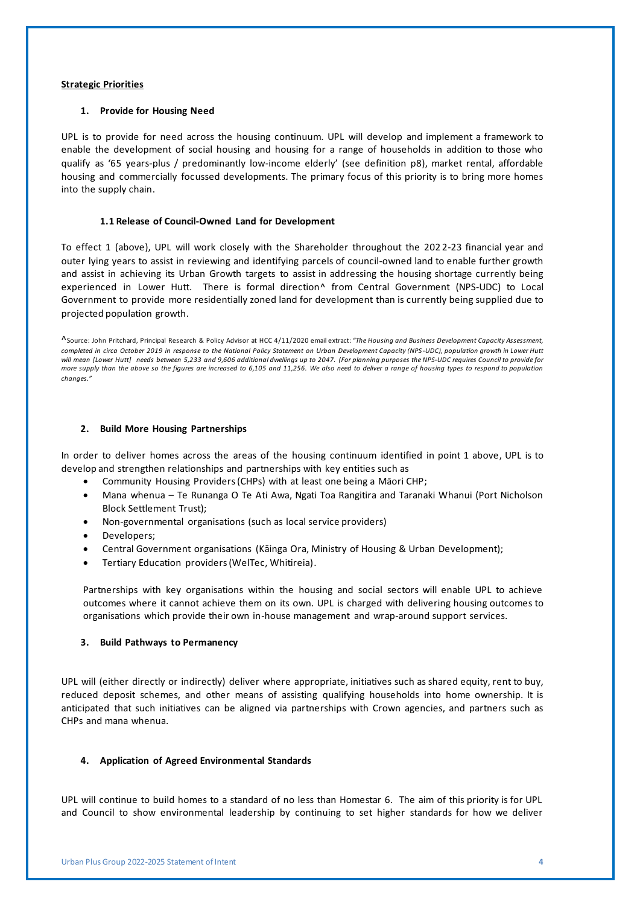### **Strategic Priorities**

### **1. Provide for Housing Need**

UPL is to provide for need across the housing continuum. UPL will develop and implement a framework to enable the development of social housing and housing for a range of households in addition to those who qualify as '65 years-plus / predominantly low-income elderly' (see definition p8), market rental, affordable housing and commercially focussed developments. The primary focus of this priority is to bring more homes into the supply chain.

### **1.1 Release of Council-Owned Land for Development**

To effect 1 (above), UPL will work closely with the Shareholder throughout the 202 2-23 financial year and outer lying years to assist in reviewing and identifying parcels of council-owned land to enable further growth and assist in achieving its Urban Growth targets to assist in addressing the housing shortage currently being experienced in Lower Hutt. There is formal direction^ from Central Government (NPS-UDC) to Local Government to provide more residentially zoned land for development than is currently being supplied due to projected population growth.

^Source: John Pritchard, Principal Research & Policy Advisor at HCC 4/11/2020 email extract: *"The Housing and Business Development Capacity Assessment, completed in circa October 2019 in response to the National Policy Statement on Urban Development Capacity (NPS -UDC), population growth in Lower Hutt will mean [Lower Hutt] needs between 5,233 and 9,606 additional dwellings up to 2047. (For planning purposes the NPS-UDC requires Council to provide for more supply than the above so the figures are increased to 6,105 and 11,256. We also need to deliver a range of housing types to respond to population changes."*

#### **2. Build More Housing Partnerships**

In order to deliver homes across the areas of the housing continuum identified in point 1 above, UPL is to develop and strengthen relationships and partnerships with key entities such as

- Community Housing Providers(CHPs) with at least one being a Māori CHP;
- Mana whenua Te Runanga O Te Ati Awa, Ngati Toa Rangitira and Taranaki Whanui (Port Nicholson Block Settlement Trust);
- Non-governmental organisations (such as local service providers)
- Developers;
- Central Government organisations (Kāinga Ora, Ministry of Housing & Urban Development);
- Tertiary Education providers (WelTec, Whitireia).

Partnerships with key organisations within the housing and social sectors will enable UPL to achieve outcomes where it cannot achieve them on its own. UPL is charged with delivering housing outcomes to organisations which provide their own in-house management and wrap-around support services.

### **3. Build Pathways to Permanency**

UPL will (either directly or indirectly) deliver where appropriate, initiatives such as shared equity, rent to buy, reduced deposit schemes, and other means of assisting qualifying households into home ownership. It is anticipated that such initiatives can be aligned via partnerships with Crown agencies, and partners such as CHPs and mana whenua.

### **4. Application of Agreed Environmental Standards**

UPL will continue to build homes to a standard of no less than Homestar 6. The aim of this priority is for UPL and Council to show environmental leadership by continuing to set higher standards for how we deliver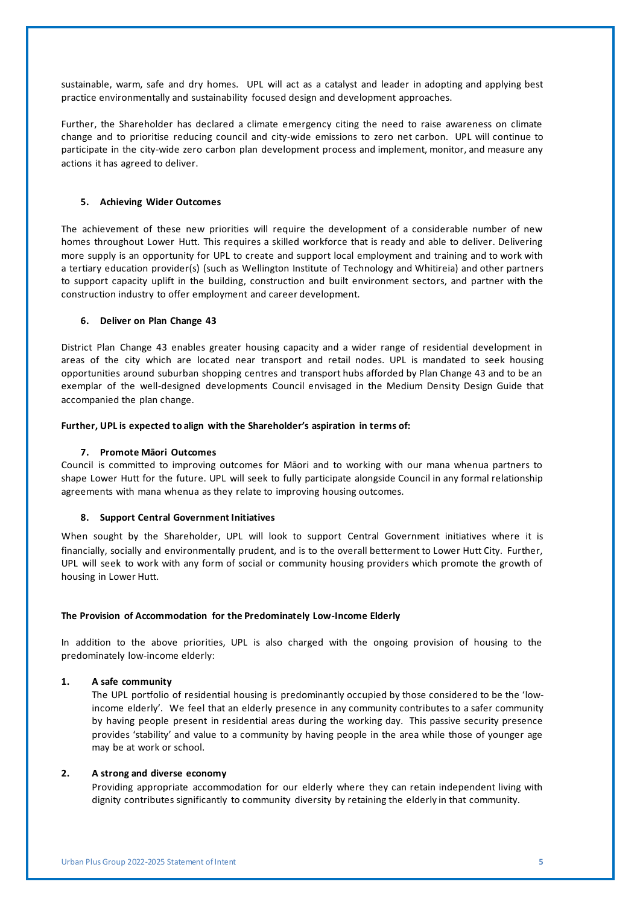sustainable, warm, safe and dry homes. UPL will act as a catalyst and leader in adopting and applying best practice environmentally and sustainability focused design and development approaches.

Further, the Shareholder has declared a climate emergency citing the need to raise awareness on climate change and to prioritise reducing council and city-wide emissions to zero net carbon. UPL will continue to participate in the city-wide zero carbon plan development process and implement, monitor, and measure any actions it has agreed to deliver.

### **5. Achieving Wider Outcomes**

The achievement of these new priorities will require the development of a considerable number of new homes throughout Lower Hutt. This requires a skilled workforce that is ready and able to deliver. Delivering more supply is an opportunity for UPL to create and support local employment and training and to work with a tertiary education provider(s) (such as Wellington Institute of Technology and Whitireia) and other partners to support capacity uplift in the building, construction and built environment sectors, and partner with the construction industry to offer employment and career development.

#### **6. Deliver on Plan Change 43**

District Plan Change 43 enables greater housing capacity and a wider range of residential development in areas of the city which are located near transport and retail nodes. UPL is mandated to seek housing opportunities around suburban shopping centres and transport hubs afforded by Plan Change 43 and to be an exemplar of the well-designed developments Council envisaged in the Medium Density Design Guide that accompanied the plan change.

#### **Further, UPL is expected to align with the Shareholder's aspiration in terms of:**

### **7. Promote Māori Outcomes**

Council is committed to improving outcomes for Māori and to working with our mana whenua partners to shape Lower Hutt for the future. UPL will seek to fully participate alongside Council in any formal relationship agreements with mana whenua as they relate to improving housing outcomes.

#### **8. Support Central Government Initiatives**

When sought by the Shareholder, UPL will look to support Central Government initiatives where it is financially, socially and environmentally prudent, and is to the overall betterment to Lower Hutt City. Further, UPL will seek to work with any form of social or community housing providers which promote the growth of housing in Lower Hutt.

#### **The Provision of Accommodation for the Predominately Low-Income Elderly**

In addition to the above priorities, UPL is also charged with the ongoing provision of housing to the predominately low-income elderly:

#### **1. A safe community**

The UPL portfolio of residential housing is predominantly occupied by those considered to be the 'lowincome elderly'. We feel that an elderly presence in any community contributes to a safer community by having people present in residential areas during the working day. This passive security presence provides 'stability' and value to a community by having people in the area while those of younger age may be at work or school.

#### **2. A strong and diverse economy**

Providing appropriate accommodation for our elderly where they can retain independent living with dignity contributes significantly to community diversity by retaining the elderly in that community.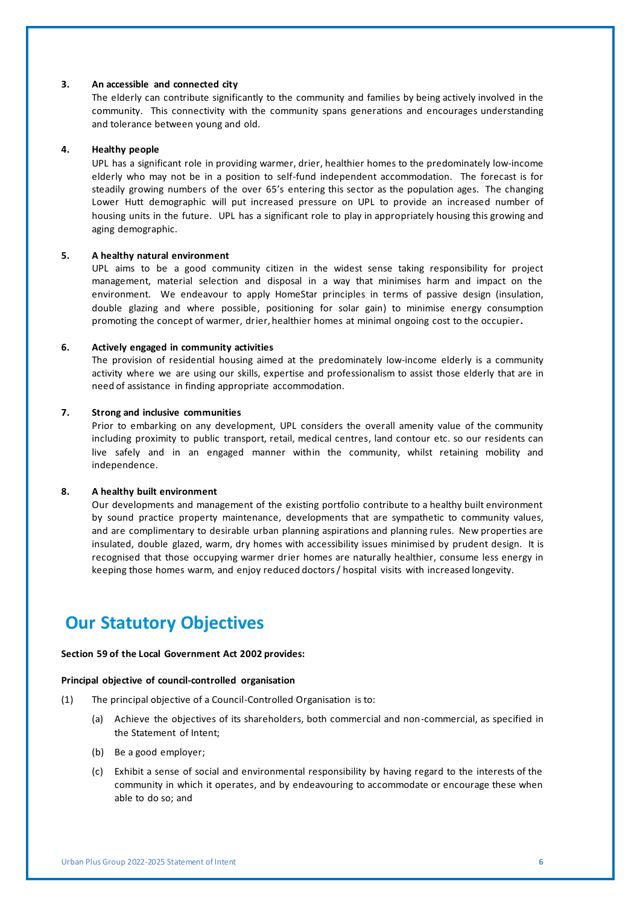### **3. An accessible and connected city**

The elderly can contribute significantly to the community and families by being actively involved in the community. This connectivity with the community spans generations and encourages understanding and tolerance between young and old.

## **4. Healthy people**

UPL has a significant role in providing warmer, drier, healthier homes to the predominately low-income elderly who may not be in a position to self-fund independent accommodation. The forecast is for steadily growing numbers of the over 65's entering this sector as the population ages. The changing Lower Hutt demographic will put increased pressure on UPL to provide an increased number of housing units in the future. UPL has a significant role to play in appropriately housing this growing and aging demographic.

#### **5. A healthy natural environment**

UPL aims to be a good community citizen in the widest sense taking responsibility for project management, material selection and disposal in a way that minimises harm and impact on the environment. We endeavour to apply HomeStar principles in terms of passive design (insulation, double glazing and where possible, positioning for solar gain) to minimise energy consumption promoting the concept of warmer, drier, healthier homes at minimal ongoing cost to the occupier**.**

#### **6. Actively engaged in community activities**

The provision of residential housing aimed at the predominately low-income elderly is a community activity where we are using our skills, expertise and professionalism to assist those elderly that are in need of assistance in finding appropriate accommodation.

#### **7. Strong and inclusive communities**

Prior to embarking on any development, UPL considers the overall amenity value of the community including proximity to public transport, retail, medical centres, land contour etc. so our residents can live safely and in an engaged manner within the community, whilst retaining mobility and independence.

### **8. A healthy built environment**

Our developments and management of the existing portfolio contribute to a healthy built environment by sound practice property maintenance, developments that are sympathetic to community values, and are complimentary to desirable urban planning aspirations and planning rules. New properties are insulated, double glazed, warm, dry homes with accessibility issues minimised by prudent design. It is recognised that those occupying warmer drier homes are naturally healthier, consume less energy in keeping those homes warm, and enjoy reduced doctors / hospital visits with increased longevity.

# **Our Statutory Objectives**

### **Section 59 of the Local Government Act 2002 provides:**

#### **Principal objective of council-controlled organisation**

- (1) The principal objective of a Council-Controlled Organisation is to:
	- (a) Achieve the objectives of its shareholders, both commercial and non-commercial, as specified in the Statement of Intent;
	- (b) Be a good employer;
	- (c) Exhibit a sense of social and environmental responsibility by having regard to the interests of the community in which it operates, and by endeavouring to accommodate or encourage these when able to do so; and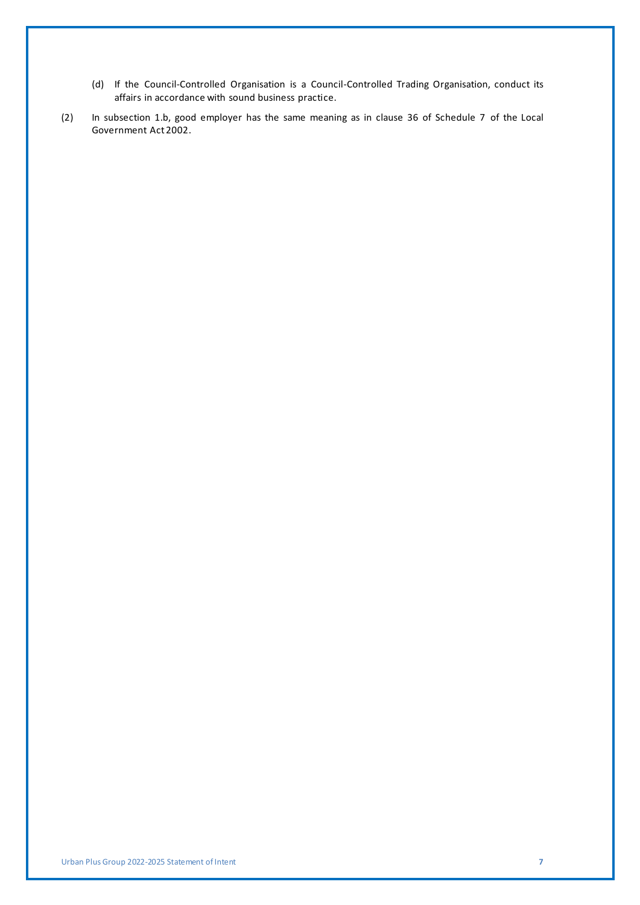- (d) If the Council-Controlled Organisation is a Council-Controlled Trading Organisation, conduct its affairs in accordance with sound business practice.
- (2) In subsection 1.b, good employer has the same meaning as in clause 36 of Schedule 7 of the Local Government Act 2002.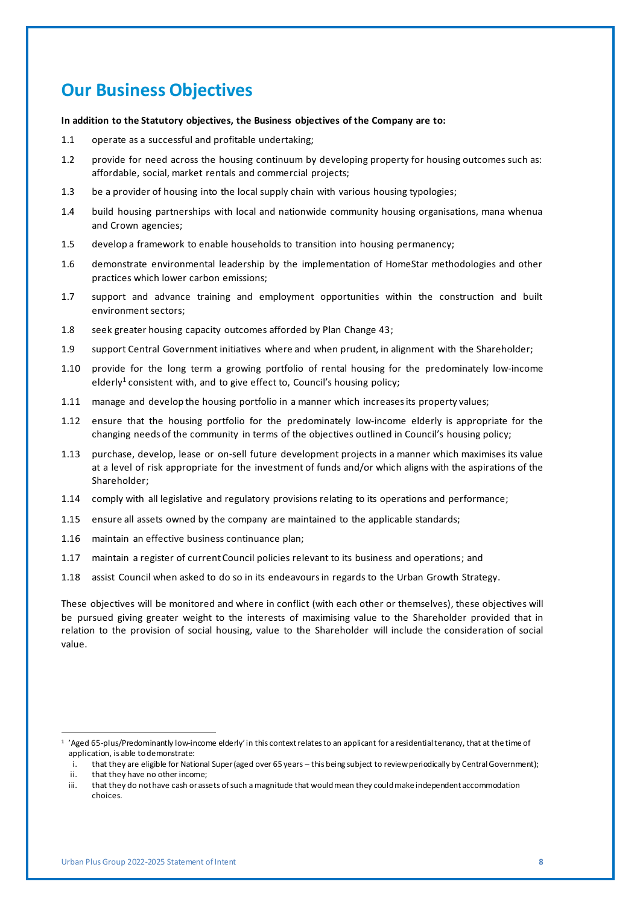# **Our Business Objectives**

#### **In addition to the Statutory objectives, the Business objectives of the Company are to:**

- 1.1 operate as a successful and profitable undertaking;
- 1.2 provide for need across the housing continuum by developing property for housing outcomes such as: affordable, social, market rentals and commercial projects;
- 1.3 be a provider of housing into the local supply chain with various housing typologies;
- 1.4 build housing partnerships with local and nationwide community housing organisations, mana whenua and Crown agencies;
- 1.5 develop a framework to enable households to transition into housing permanency;
- 1.6 demonstrate environmental leadership by the implementation of HomeStar methodologies and other practices which lower carbon emissions;
- 1.7 support and advance training and employment opportunities within the construction and built environment sectors;
- 1.8 seek greater housing capacity outcomes afforded by Plan Change 43;
- 1.9 support Central Government initiatives where and when prudent, in alignment with the Shareholder;
- 1.10 provide for the long term a growing portfolio of rental housing for the predominately low-income elderly<sup>1</sup> consistent with, and to give effect to, Council's housing policy;
- 1.11 manage and develop the housing portfolio in a manner which increases its property values;
- 1.12 ensure that the housing portfolio for the predominately low-income elderly is appropriate for the changing needs of the community in terms of the objectives outlined in Council's housing policy;
- 1.13 purchase, develop, lease or on-sell future development projects in a manner which maximises its value at a level of risk appropriate for the investment of funds and/or which aligns with the aspirations of the Shareholder;
- 1.14 comply with all legislative and regulatory provisions relating to its operations and performance;
- 1.15 ensure all assets owned by the company are maintained to the applicable standards;
- 1.16 maintain an effective business continuance plan;
- 1.17 maintain a register of current Council policies relevant to its business and operations; and
- 1.18 assist Council when asked to do so in its endeavours in regards to the Urban Growth Strategy.

These objectives will be monitored and where in conflict (with each other or themselves), these objectives will be pursued giving greater weight to the interests of maximising value to the Shareholder provided that in relation to the provision of social housing, value to the Shareholder will include the consideration of social value.

 $^1$  'Aged 65-plus/Predominantly low-income elderly' in this context relates to an applicant for a residential tenancy, that at the time of application, is able to demonstrate:

i. that they are eligible for National Super (aged over 65 years – this being subject to review periodically by Central Government);

ii. that they have no other income;

iii. that they do not have cash or assets of such a magnitude that would mean they could make independent accommodation choices.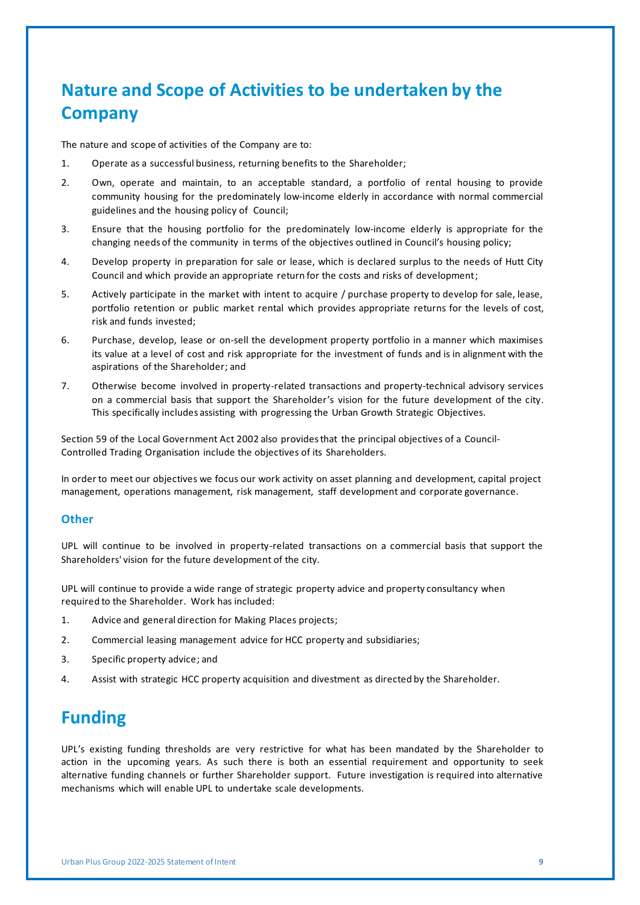# **Nature and Scope of Activities to be undertaken by the Company**

The nature and scope of activities of the Company are to:

- 1. Operate as a successful business, returning benefits to the Shareholder;
- 2. Own, operate and maintain, to an acceptable standard, a portfolio of rental housing to provide community housing for the predominately low-income elderly in accordance with normal commercial guidelines and the housing policy of Council;
- 3. Ensure that the housing portfolio for the predominately low-income elderly is appropriate for the changing needs of the community in terms of the objectives outlined in Council's housing policy;
- 4. Develop property in preparation for sale or lease, which is declared surplus to the needs of Hutt City Council and which provide an appropriate return for the costs and risks of development;
- 5. Actively participate in the market with intent to acquire / purchase property to develop for sale, lease, portfolio retention or public market rental which provides appropriate returns for the levels of cost, risk and funds invested;
- 6. Purchase, develop, lease or on-sell the development property portfolio in a manner which maximises its value at a level of cost and risk appropriate for the investment of funds and is in alignment with the aspirations of the Shareholder; and
- 7. Otherwise become involved in property-related transactions and property-technical advisory services on a commercial basis that support the Shareholder's vision for the future development of the city. This specifically includes assisting with progressing the Urban Growth Strategic Objectives.

Section 59 of the Local Government Act 2002 also provides that the principal objectives of a Council-Controlled Trading Organisation include the objectives of its Shareholders.

In order to meet our objectives we focus our work activity on asset planning and development, capital project management, operations management, risk management, staff development and corporate governance.

## **Other**

UPL will continue to be involved in property-related transactions on a commercial basis that support the Shareholders' vision for the future development of the city.

UPL will continue to provide a wide range of strategic property advice and property consultancy when required to the Shareholder. Work has included:

- 1. Advice and general direction for Making Places projects;
- 2. Commercial leasing management advice for HCC property and subsidiaries;
- 3. Specific property advice; and
- 4. Assist with strategic HCC property acquisition and divestment as directed by the Shareholder.

# **Funding**

UPL's existing funding thresholds are very restrictive for what has been mandated by the Shareholder to action in the upcoming years. As such there is both an essential requirement and opportunity to seek alternative funding channels or further Shareholder support. Future investigation is required into alternative mechanisms which will enable UPL to undertake scale developments.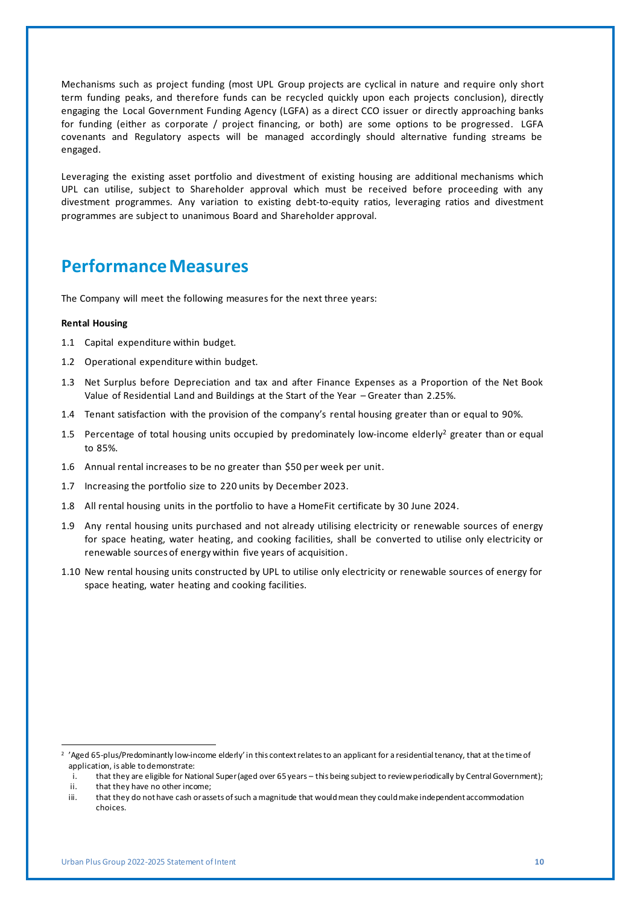Mechanisms such as project funding (most UPL Group projects are cyclical in nature and require only short term funding peaks, and therefore funds can be recycled quickly upon each projects conclusion), directly engaging the Local Government Funding Agency (LGFA) as a direct CCO issuer or directly approaching banks for funding (either as corporate / project financing, or both) are some options to be progressed. LGFA covenants and Regulatory aspects will be managed accordingly should alternative funding streams be engaged.

Leveraging the existing asset portfolio and divestment of existing housing are additional mechanisms which UPL can utilise, subject to Shareholder approval which must be received before proceeding with any divestment programmes. Any variation to existing debt-to-equity ratios, leveraging ratios and divestment programmes are subject to unanimous Board and Shareholder approval.

# **Performance Measures**

The Company will meet the following measures for the next three years:

### **Rental Housing**

- 1.1 Capital expenditure within budget.
- 1.2 Operational expenditure within budget.
- 1.3 Net Surplus before Depreciation and tax and after Finance Expenses as a Proportion of the Net Book Value of Residential Land and Buildings at the Start of the Year – Greater than 2.25%.
- 1.4 Tenant satisfaction with the provision of the company's rental housing greater than or equal to 90%.
- 1.5 Percentage of total housing units occupied by predominately low-income elderly<sup>2</sup> greater than or equal to 85%.
- 1.6 Annual rental increases to be no greater than \$50 per week per unit.
- 1.7 Increasing the portfolio size to 220 units by December 2023.
- 1.8 All rental housing units in the portfolio to have a HomeFit certificate by 30 June 2024.
- 1.9 Any rental housing units purchased and not already utilising electricity or renewable sources of energy for space heating, water heating, and cooking facilities, shall be converted to utilise only electricity or renewable sources of energy within five years of acquisition.
- 1.10 New rental housing units constructed by UPL to utilise only electricity or renewable sources of energy for space heating, water heating and cooking facilities.

 $^2$  'Aged 65-plus/Predominantly low-income elderly' in this context relates to an applicant for a residential tenancy, that at the time of application, is able to demonstrate:

i. that they are eligible for National Super (aged over 65 years – this being subject to review periodically by Central Government);

ii. that they have no other income;

iii. that they do not have cash or assets of such a magnitude that would mean they could make independent accommodation choices.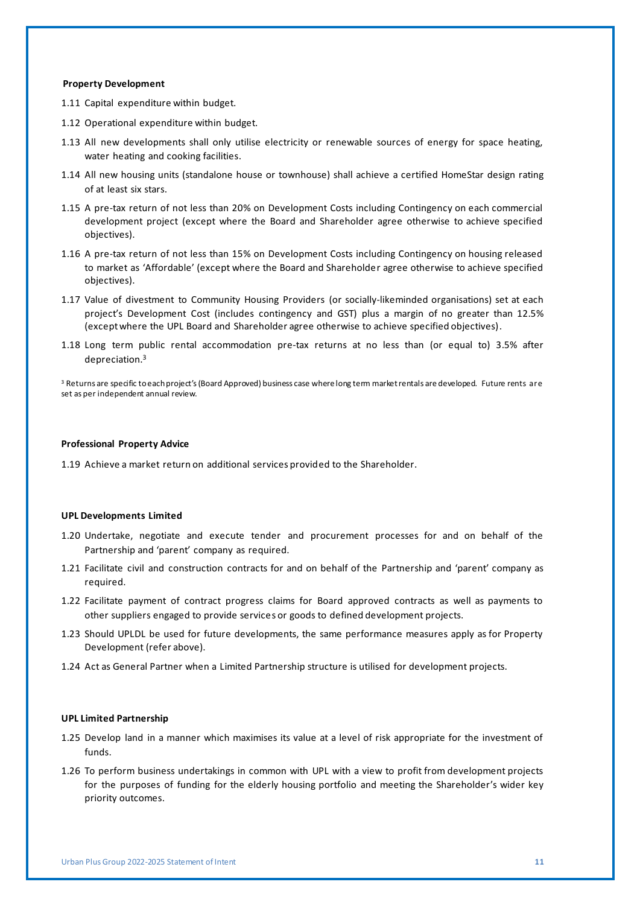#### **Property Development**

- 1.11 Capital expenditure within budget.
- 1.12 Operational expenditure within budget.
- 1.13 All new developments shall only utilise electricity or renewable sources of energy for space heating, water heating and cooking facilities.
- 1.14 All new housing units (standalone house or townhouse) shall achieve a certified HomeStar design rating of at least six stars.
- 1.15 A pre-tax return of not less than 20% on Development Costs including Contingency on each commercial development project (except where the Board and Shareholder agree otherwise to achieve specified objectives).
- 1.16 A pre-tax return of not less than 15% on Development Costs including Contingency on housing released to market as 'Affordable' (except where the Board and Shareholder agree otherwise to achieve specified objectives).
- 1.17 Value of divestment to Community Housing Providers (or socially-likeminded organisations) set at each project's Development Cost (includes contingency and GST) plus a margin of no greater than 12.5% (except where the UPL Board and Shareholder agree otherwise to achieve specified objectives).
- 1.18 Long term public rental accommodation pre-tax returns at no less than (or equal to) 3.5% after depreciation.<sup>3</sup>

<sup>3</sup> Returns are specific to each project's (Board Approved) business case where long term market rentals are developed. Future rents are set as per independent annual review.

#### **Professional Property Advice**

1.19 Achieve a market return on additional services provided to the Shareholder.

#### **UPL Developments Limited**

- 1.20 Undertake, negotiate and execute tender and procurement processes for and on behalf of the Partnership and 'parent' company as required.
- 1.21 Facilitate civil and construction contracts for and on behalf of the Partnership and 'parent' company as required.
- 1.22 Facilitate payment of contract progress claims for Board approved contracts as well as payments to other suppliers engaged to provide services or goods to defined development projects.
- 1.23 Should UPLDL be used for future developments, the same performance measures apply as for Property Development (refer above).
- 1.24 Act as General Partner when a Limited Partnership structure is utilised for development projects.

#### **UPL Limited Partnership**

- 1.25 Develop land in a manner which maximises its value at a level of risk appropriate for the investment of funds.
- 1.26 To perform business undertakings in common with UPL with a view to profit from development projects for the purposes of funding for the elderly housing portfolio and meeting the Shareholder's wider key priority outcomes.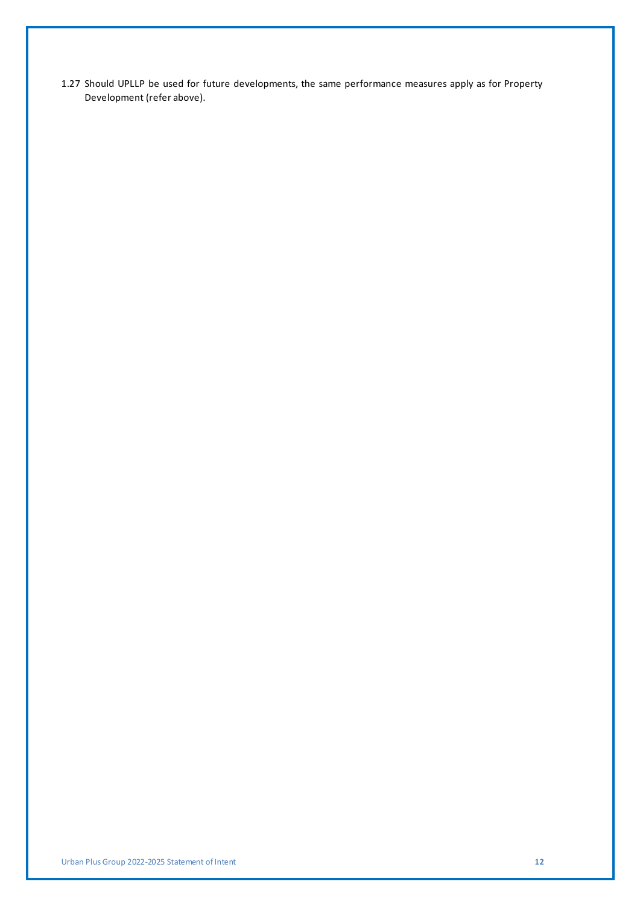1.27 Should UPLLP be used for future developments, the same performance measures apply as for Property Development (refer above).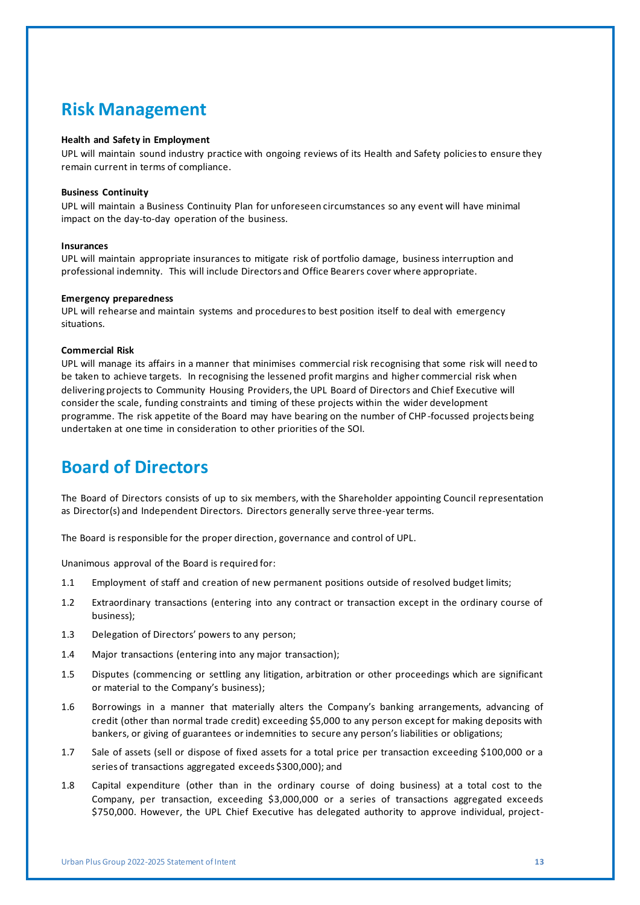# **Risk Management**

#### **Health and Safety in Employment**

UPL will maintain sound industry practice with ongoing reviews of its Health and Safety policies to ensure they remain current in terms of compliance.

### **Business Continuity**

UPL will maintain a Business Continuity Plan for unforeseen circumstances so any event will have minimal impact on the day-to-day operation of the business.

#### **Insurances**

UPL will maintain appropriate insurances to mitigate risk of portfolio damage, business interruption and professional indemnity. This will include Directors and Office Bearers cover where appropriate.

### **Emergency preparedness**

UPL will rehearse and maintain systems and procedures to best position itself to deal with emergency situations.

#### **Commercial Risk**

UPL will manage its affairs in a manner that minimises commercial risk recognising that some risk will need to be taken to achieve targets. In recognising the lessened profit margins and higher commercial risk when delivering projects to Community Housing Providers, the UPL Board of Directors and Chief Executive will consider the scale, funding constraints and timing of these projects within the wider development programme. The risk appetite of the Board may have bearing on the number of CHP-focussed projects being undertaken at one time in consideration to other priorities of the SOI.

# **Board of Directors**

The Board of Directors consists of up to six members, with the Shareholder appointing Council representation as Director(s) and Independent Directors. Directors generally serve three-year terms.

The Board is responsible for the proper direction, governance and control of UPL.

Unanimous approval of the Board is required for:

- 1.1 Employment of staff and creation of new permanent positions outside of resolved budget limits;
- 1.2 Extraordinary transactions (entering into any contract or transaction except in the ordinary course of business);
- 1.3 Delegation of Directors' powers to any person;
- 1.4 Major transactions (entering into any major transaction);
- 1.5 Disputes (commencing or settling any litigation, arbitration or other proceedings which are significant or material to the Company's business);
- 1.6 Borrowings in a manner that materially alters the Company's banking arrangements, advancing of credit (other than normal trade credit) exceeding \$5,000 to any person except for making deposits with bankers, or giving of guarantees or indemnities to secure any person's liabilities or obligations;
- 1.7 Sale of assets (sell or dispose of fixed assets for a total price per transaction exceeding \$100,000 or a series of transactions aggregated exceeds \$300,000); and
- 1.8 Capital expenditure (other than in the ordinary course of doing business) at a total cost to the Company, per transaction, exceeding \$3,000,000 or a series of transactions aggregated exceeds \$750,000. However, the UPL Chief Executive has delegated authority to approve individual, project-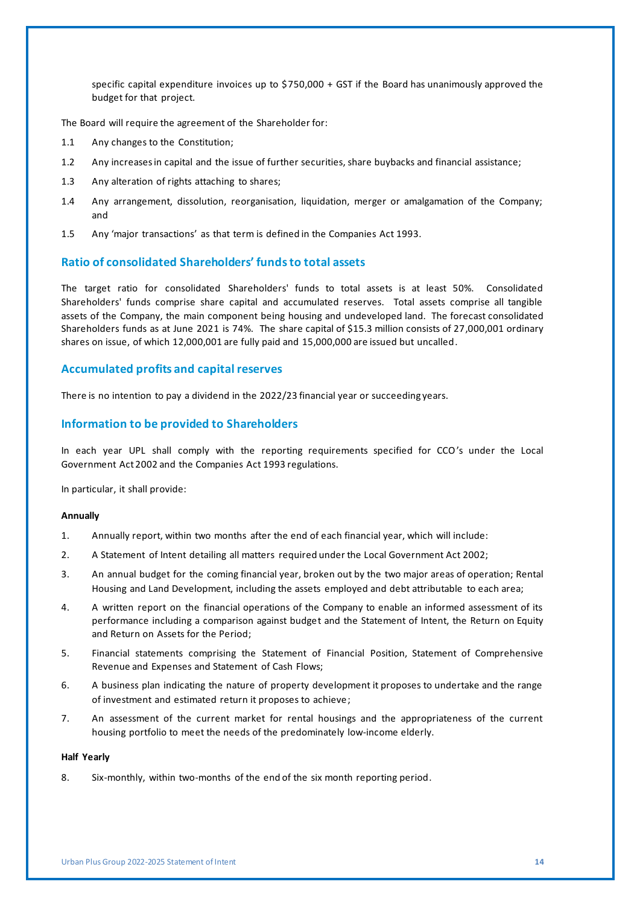specific capital expenditure invoices up to \$750,000 + GST if the Board has unanimously approved the budget for that project.

The Board will require the agreement of the Shareholder for:

- 1.1 Any changes to the Constitution;
- 1.2 Any increases in capital and the issue of further securities, share buybacks and financial assistance;
- 1.3 Any alteration of rights attaching to shares;
- 1.4 Any arrangement, dissolution, reorganisation, liquidation, merger or amalgamation of the Company; and
- 1.5 Any 'major transactions' as that term is defined in the Companies Act 1993.

## **Ratio of consolidated Shareholders' funds to total assets**

The target ratio for consolidated Shareholders' funds to total assets is at least 50%. Consolidated Shareholders' funds comprise share capital and accumulated reserves. Total assets comprise all tangible assets of the Company, the main component being housing and undeveloped land. The forecast consolidated Shareholders funds as at June 2021 is 74%. The share capital of \$15.3 million consists of 27,000,001 ordinary shares on issue, of which 12,000,001 are fully paid and 15,000,000 are issued but uncalled.

## **Accumulated profits and capital reserves**

There is no intention to pay a dividend in the 2022/23 financial year or succeeding years.

## **Information to be provided to Shareholders**

In each year UPL shall comply with the reporting requirements specified for CCO's under the Local Government Act 2002 and the Companies Act 1993 regulations.

In particular, it shall provide:

### **Annually**

- 1. Annually report, within two months after the end of each financial year, which will include:
- 2. A Statement of Intent detailing all matters required under the Local Government Act 2002;
- 3. An annual budget for the coming financial year, broken out by the two major areas of operation; Rental Housing and Land Development, including the assets employed and debt attributable to each area;
- 4. A written report on the financial operations of the Company to enable an informed assessment of its performance including a comparison against budget and the Statement of Intent, the Return on Equity and Return on Assets for the Period;
- 5. Financial statements comprising the Statement of Financial Position, Statement of Comprehensive Revenue and Expenses and Statement of Cash Flows;
- 6. A business plan indicating the nature of property development it proposes to undertake and the range of investment and estimated return it proposes to achieve;
- 7. An assessment of the current market for rental housings and the appropriateness of the current housing portfolio to meet the needs of the predominately low-income elderly.

## **Half Yearly**

8. Six-monthly, within two-months of the end of the six month reporting period.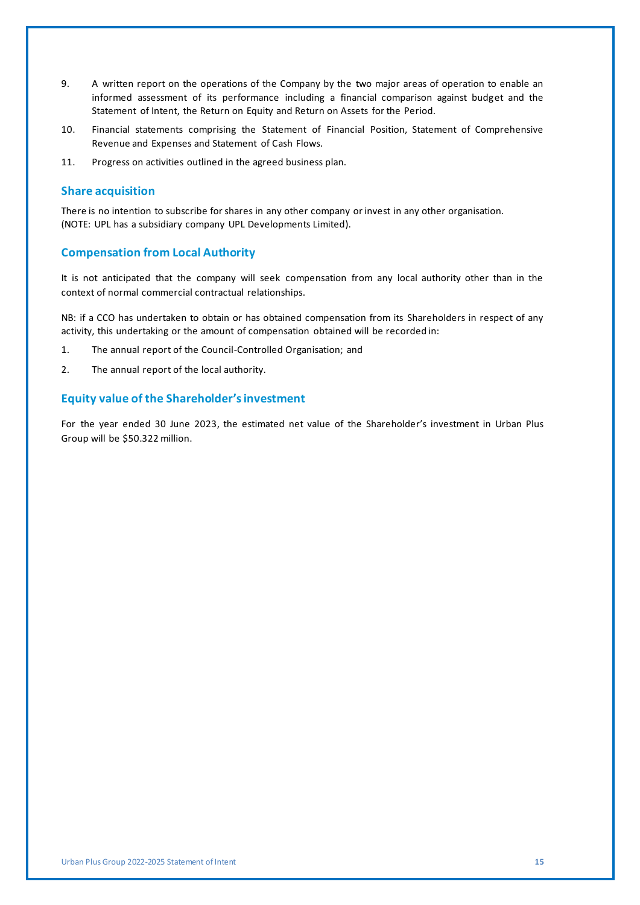- 9. A written report on the operations of the Company by the two major areas of operation to enable an informed assessment of its performance including a financial comparison against budget and the Statement of Intent, the Return on Equity and Return on Assets for the Period.
- 10. Financial statements comprising the Statement of Financial Position, Statement of Comprehensive Revenue and Expenses and Statement of Cash Flows.
- 11. Progress on activities outlined in the agreed business plan.

## **Share acquisition**

There is no intention to subscribe for shares in any other company or invest in any other organisation. (NOTE: UPL has a subsidiary company UPL Developments Limited).

# **Compensation from Local Authority**

It is not anticipated that the company will seek compensation from any local authority other than in the context of normal commercial contractual relationships.

NB: if a CCO has undertaken to obtain or has obtained compensation from its Shareholders in respect of any activity, this undertaking or the amount of compensation obtained will be recorded in:

- 1. The annual report of the Council-Controlled Organisation; and
- 2. The annual report of the local authority.

# **Equity value of the Shareholder's investment**

For the year ended 30 June 2023, the estimated net value of the Shareholder's investment in Urban Plus Group will be \$50.322 million.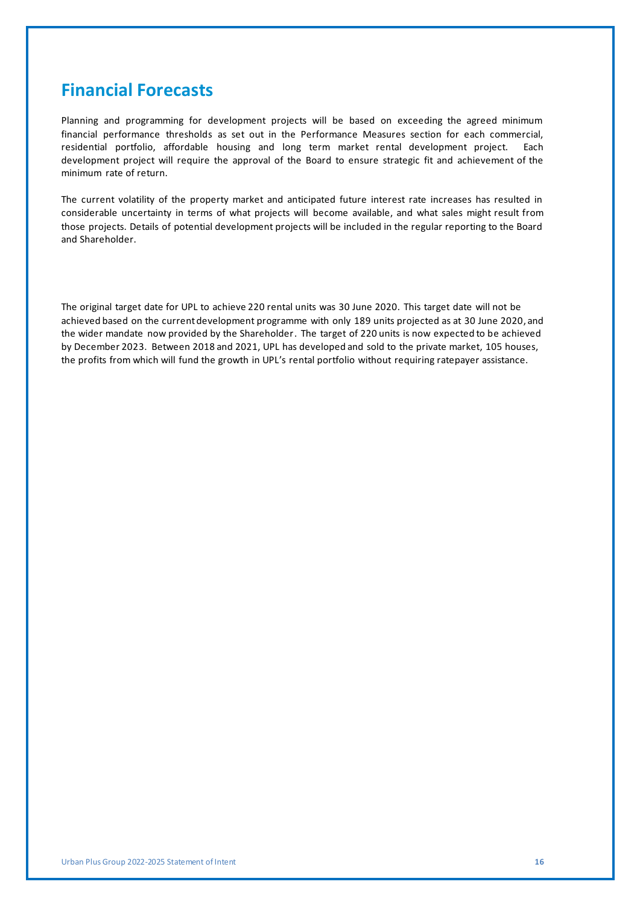# **Financial Forecasts**

Planning and programming for development projects will be based on exceeding the agreed minimum financial performance thresholds as set out in the Performance Measures section for each commercial, residential portfolio, affordable housing and long term market rental development project. Each development project will require the approval of the Board to ensure strategic fit and achievement of the minimum rate of return.

The current volatility of the property market and anticipated future interest rate increases has resulted in considerable uncertainty in terms of what projects will become available, and what sales might result from those projects. Details of potential development projects will be included in the regular reporting to the Board and Shareholder.

The original target date for UPL to achieve 220 rental units was 30 June 2020. This target date will not be achieved based on the current development programme with only 189 units projected as at 30 June 2020, and the wider mandate now provided by the Shareholder. The target of 220 units is now expected to be achieved by December 2023. Between 2018 and 2021, UPL has developed and sold to the private market, 105 houses, the profits from which will fund the growth in UPL's rental portfolio without requiring ratepayer assistance.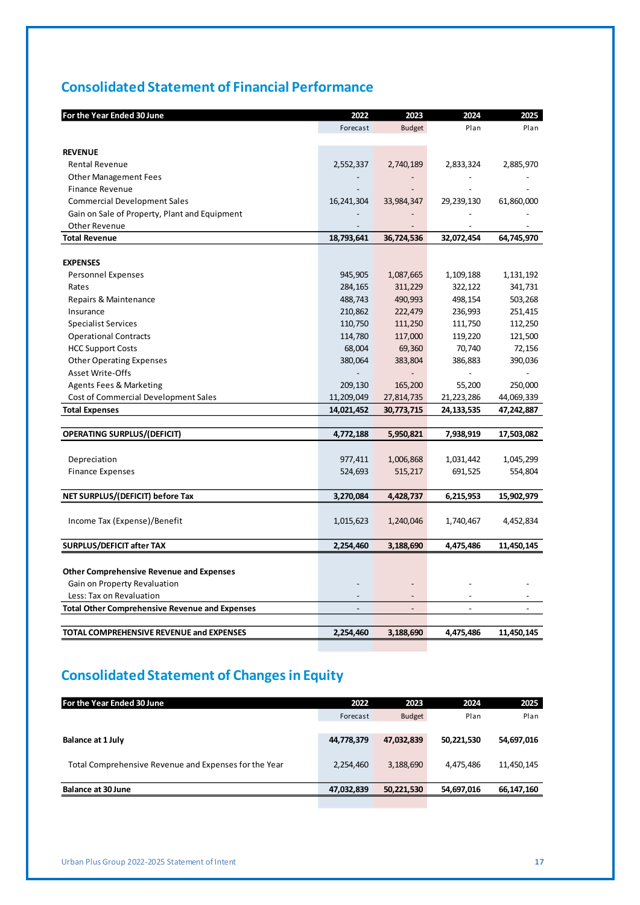# **Consolidated Statement of Financial Performance**

| For the Year Ended 30 June                                 | 2022                      | 2023                     | 2024                 | 2025                                |
|------------------------------------------------------------|---------------------------|--------------------------|----------------------|-------------------------------------|
|                                                            | Forecast                  | <b>Budget</b>            | Plan                 | Plan                                |
|                                                            |                           |                          |                      |                                     |
| <b>REVENUE</b>                                             |                           |                          |                      |                                     |
| <b>Rental Revenue</b>                                      | 2,552,337                 | 2,740,189                | 2,833,324            | 2,885,970                           |
| <b>Other Management Fees</b>                               |                           |                          |                      |                                     |
| <b>Finance Revenue</b>                                     |                           |                          |                      |                                     |
| <b>Commercial Development Sales</b>                        | 16,241,304                | 33,984,347               | 29,239,130           | 61,860,000                          |
| Gain on Sale of Property, Plant and Equipment              |                           |                          |                      |                                     |
| Other Revenue                                              |                           |                          |                      |                                     |
| <b>Total Revenue</b>                                       | 18,793,641                | 36,724,536               | 32,072,454           | 64,745,970                          |
| <b>EXPENSES</b>                                            |                           |                          |                      |                                     |
|                                                            |                           |                          |                      |                                     |
| Personnel Expenses<br>Rates                                | 945,905                   | 1,087,665                | 1,109,188<br>322,122 | 1,131,192<br>341,731                |
|                                                            | 284,165<br>488,743        | 311,229<br>490,993       | 498,154              | 503,268                             |
| Repairs & Maintenance<br>Insurance                         | 210,862                   | 222,479                  | 236,993              | 251,415                             |
| <b>Specialist Services</b>                                 | 110,750                   | 111,250                  | 111,750              | 112,250                             |
| <b>Operational Contracts</b>                               | 114,780                   | 117,000                  | 119,220              | 121,500                             |
| <b>HCC Support Costs</b>                                   | 68,004                    | 69,360                   | 70,740               | 72,156                              |
|                                                            |                           |                          | 386,883              |                                     |
| <b>Other Operating Expenses</b><br><b>Asset Write-Offs</b> | 380,064<br>$\overline{a}$ | 383,804                  |                      | 390,036<br>$\overline{\phantom{a}}$ |
| <b>Agents Fees &amp; Marketing</b>                         | 209,130                   | 165,200                  | 55,200               | 250,000                             |
| Cost of Commercial Development Sales                       | 11,209,049                |                          | 21, 223, 286         |                                     |
| <b>Total Expenses</b>                                      | 14,021,452                | 27,814,735<br>30,773,715 | 24, 133, 535         | 44,069,339<br>47,242,887            |
|                                                            |                           |                          |                      |                                     |
| <b>OPERATING SURPLUS/(DEFICIT)</b>                         | 4,772,188                 | 5,950,821                | 7,938,919            | 17,503,082                          |
|                                                            |                           |                          |                      |                                     |
| Depreciation                                               | 977,411                   | 1,006,868                | 1,031,442            | 1,045,299                           |
| <b>Finance Expenses</b>                                    | 524,693                   | 515,217                  | 691,525              | 554,804                             |
|                                                            |                           |                          |                      |                                     |
| NET SURPLUS/(DEFICIT) before Tax                           | 3,270,084                 | 4,428,737                | 6,215,953            | 15,902,979                          |
| Income Tax (Expense)/Benefit                               | 1,015,623                 | 1,240,046                | 1,740,467            | 4,452,834                           |
|                                                            |                           |                          |                      |                                     |
| SURPLUS/DEFICIT after TAX                                  | 2,254,460                 | 3,188,690                | 4,475,486            | 11,450,145                          |
|                                                            |                           |                          |                      |                                     |
| <b>Other Comprehensive Revenue and Expenses</b>            |                           |                          |                      |                                     |
| Gain on Property Revaluation                               |                           |                          |                      |                                     |
| Less: Tax on Revaluation                                   |                           |                          |                      |                                     |
| <b>Total Other Comprehensive Revenue and Expenses</b>      |                           |                          |                      |                                     |
| <b>TOTAL COMPREHENSIVE REVENUE and EXPENSES</b>            | 2,254,460                 | 3,188,690                | 4,475,486            | 11,450,145                          |
|                                                            |                           |                          |                      |                                     |

# **Consolidated Statement of Changes in Equity**

| For the Year Ended 30 June                            | 2022       | 2023          | 2024       | 2025       |
|-------------------------------------------------------|------------|---------------|------------|------------|
|                                                       | Forecast   | <b>Budget</b> | Plan       | Plan       |
|                                                       |            |               |            |            |
| Balance at 1 July                                     | 44,778,379 | 47,032,839    | 50,221,530 | 54,697,016 |
|                                                       |            |               |            |            |
| Total Comprehensive Revenue and Expenses for the Year | 2,254,460  | 3,188,690     | 4,475,486  | 11,450,145 |
|                                                       |            |               |            |            |
| <b>Balance at 30 June</b>                             | 47,032,839 | 50,221,530    | 54,697,016 | 66,147,160 |
|                                                       |            |               |            |            |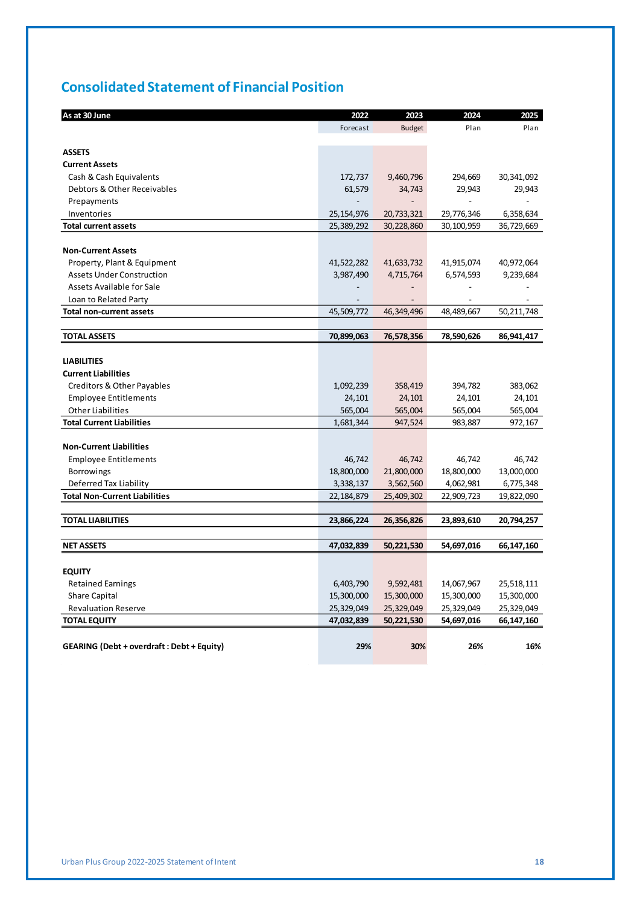# **Consolidated Statement of Financial Position**

| As at 30 June                              | 2022         | 2023           | 2024       | 2025       |
|--------------------------------------------|--------------|----------------|------------|------------|
|                                            | Forecast     | <b>Budget</b>  | Plan       | Plan       |
|                                            |              |                |            |            |
| <b>ASSETS</b>                              |              |                |            |            |
| <b>Current Assets</b>                      |              |                |            |            |
| Cash & Cash Equivalents                    | 172,737      | 9,460,796      | 294,669    | 30,341,092 |
| Debtors & Other Receivables                | 61,579       | 34,743         | 29,943     | 29,943     |
| Prepayments                                |              | $\overline{a}$ |            |            |
| Inventories                                | 25, 154, 976 | 20,733,321     | 29,776,346 | 6,358,634  |
| <b>Total current assets</b>                | 25,389,292   | 30,228,860     | 30,100,959 | 36,729,669 |
| <b>Non-Current Assets</b>                  |              |                |            |            |
| Property, Plant & Equipment                | 41,522,282   | 41,633,732     | 41,915,074 | 40,972,064 |
| <b>Assets Under Construction</b>           | 3,987,490    | 4,715,764      | 6,574,593  | 9,239,684  |
| Assets Available for Sale                  |              |                |            |            |
| Loan to Related Party                      |              |                | ÷,         |            |
| <b>Total non-current assets</b>            | 45,509,772   | 46,349,496     | 48,489,667 | 50,211,748 |
|                                            |              |                |            |            |
| <b>TOTAL ASSETS</b>                        | 70,899,063   | 76,578,356     | 78,590,626 | 86,941,417 |
|                                            |              |                |            |            |
| <b>LIABILITIES</b>                         |              |                |            |            |
| <b>Current Liabilities</b>                 |              |                |            |            |
| Creditors & Other Payables                 | 1,092,239    | 358,419        | 394,782    | 383,062    |
| <b>Employee Entitlements</b>               | 24,101       | 24,101         | 24,101     | 24,101     |
| <b>Other Liabilities</b>                   | 565,004      | 565,004        | 565,004    | 565,004    |
| <b>Total Current Liabilities</b>           | 1,681,344    | 947,524        | 983,887    | 972,167    |
|                                            |              |                |            |            |
| <b>Non-Current Liabilities</b>             |              |                |            |            |
| <b>Employee Entitlements</b>               | 46,742       | 46,742         | 46,742     | 46,742     |
| <b>Borrowings</b>                          | 18,800,000   | 21,800,000     | 18,800,000 | 13,000,000 |
| Deferred Tax Liability                     | 3,338,137    | 3,562,560      | 4,062,981  | 6,775,348  |
| <b>Total Non-Current Liabilities</b>       | 22,184,879   | 25,409,302     | 22,909,723 | 19,822,090 |
| <b>TOTAL LIABILITIES</b>                   | 23,866,224   | 26,356,826     | 23,893,610 | 20,794,257 |
|                                            |              |                |            |            |
| <b>NET ASSETS</b>                          | 47,032,839   | 50,221,530     | 54,697,016 | 66,147,160 |
|                                            |              |                |            |            |
| <b>EQUITY</b>                              |              |                |            |            |
| <b>Retained Earnings</b>                   | 6,403,790    | 9,592,481      | 14,067,967 | 25,518,111 |
| <b>Share Capital</b>                       | 15,300,000   | 15,300,000     | 15,300,000 | 15,300,000 |
| <b>Revaluation Reserve</b>                 | 25,329,049   | 25,329,049     | 25,329,049 | 25,329,049 |
| <b>TOTAL EQUITY</b>                        | 47,032,839   | 50,221,530     | 54,697,016 | 66,147,160 |
|                                            |              |                |            |            |
| GEARING (Debt + overdraft : Debt + Equity) | 29%          | 30%            | 26%        | 16%        |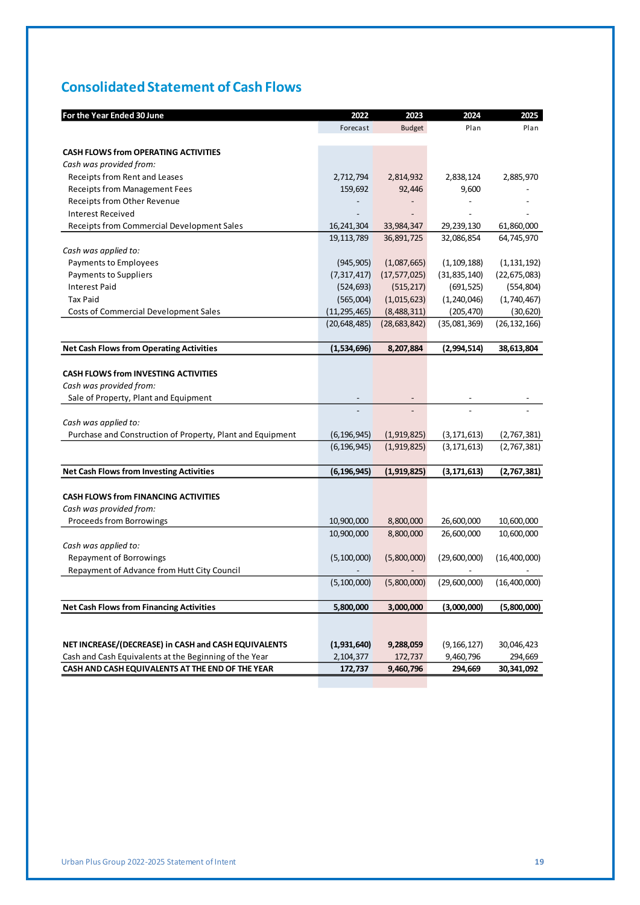# **Consolidated Statement of Cash Flows**

| For the Year Ended 30 June                                 | 2022           | 2023           | 2024           | 2025           |
|------------------------------------------------------------|----------------|----------------|----------------|----------------|
|                                                            | Forecast       | <b>Budget</b>  | Plan           | Plan           |
| <b>CASH FLOWS from OPERATING ACTIVITIES</b>                |                |                |                |                |
| Cash was provided from:                                    |                |                |                |                |
| Receipts from Rent and Leases                              | 2,712,794      | 2,814,932      | 2,838,124      | 2,885,970      |
| Receipts from Management Fees                              | 159,692        | 92,446         | 9,600          |                |
| Receipts from Other Revenue                                |                |                |                |                |
| <b>Interest Received</b>                                   |                |                |                |                |
| Receipts from Commercial Development Sales                 | 16,241,304     | 33,984,347     | 29,239,130     | 61,860,000     |
|                                                            | 19, 113, 789   | 36,891,725     | 32,086,854     | 64,745,970     |
| Cash was applied to:                                       |                |                |                |                |
| Payments to Employees                                      | (945, 905)     | (1,087,665)    | (1, 109, 188)  | (1, 131, 192)  |
| Payments to Suppliers                                      | (7,317,417)    | (17, 577, 025) | (31, 835, 140) | (22, 675, 083) |
| <b>Interest Paid</b>                                       | (524, 693)     | (515, 217)     | (691, 525)     | (554, 804)     |
| Tax Paid                                                   | (565,004)      | (1,015,623)    | (1, 240, 046)  | (1,740,467)    |
| Costs of Commercial Development Sales                      | (11, 295, 465) | (8,488,311)    | (205, 470)     | (30,620)       |
|                                                            | (20, 648, 485) | (28, 683, 842) | (35,081,369)   | (26, 132, 166) |
| <b>Net Cash Flows from Operating Activities</b>            | (1,534,696)    | 8,207,884      | (2,994,514)    | 38,613,804     |
|                                                            |                |                |                |                |
| <b>CASH FLOWS from INVESTING ACTIVITIES</b>                |                |                |                |                |
| Cash was provided from:                                    |                |                |                |                |
| Sale of Property, Plant and Equipment                      |                |                |                |                |
|                                                            |                |                |                |                |
| Cash was applied to:                                       |                |                |                |                |
| Purchase and Construction of Property, Plant and Equipment | (6, 196, 945)  | (1,919,825)    | (3, 171, 613)  | (2,767,381)    |
|                                                            | (6, 196, 945)  | (1,919,825)    | (3, 171, 613)  | (2,767,381)    |
|                                                            |                |                |                |                |
| <b>Net Cash Flows from Investing Activities</b>            | (6, 196, 945)  | (1,919,825)    | (3, 171, 613)  | (2,767,381)    |
|                                                            |                |                |                |                |
| <b>CASH FLOWS from FINANCING ACTIVITIES</b>                |                |                |                |                |
| Cash was provided from:                                    |                |                |                |                |
| Proceeds from Borrowings                                   | 10,900,000     | 8,800,000      | 26,600,000     | 10,600,000     |
|                                                            | 10,900,000     | 8,800,000      | 26,600,000     | 10,600,000     |
| Cash was applied to:                                       |                |                |                |                |
| <b>Repayment of Borrowings</b>                             | (5, 100, 000)  | (5,800,000)    | (29,600,000)   | (16,400,000)   |
| Repayment of Advance from Hutt City Council                |                |                |                |                |
|                                                            | (5, 100, 000)  | (5,800,000)    | (29,600,000)   | (16,400,000)   |
| <b>Net Cash Flows from Financing Activities</b>            | 5,800,000      | 3,000,000      | (3,000,000)    | (5,800,000)    |
|                                                            |                |                |                |                |
|                                                            |                |                |                |                |
| NET INCREASE/(DECREASE) in CASH and CASH EQUIVALENTS       | (1,931,640)    | 9,288,059      | (9, 166, 127)  | 30,046,423     |
| Cash and Cash Equivalents at the Beginning of the Year     | 2,104,377      | 172,737        | 9,460,796      | 294,669        |
| CASH AND CASH EQUIVALENTS AT THE END OF THE YEAR           | 172,737        | 9,460,796      | 294,669        | 30,341,092     |
|                                                            |                |                |                |                |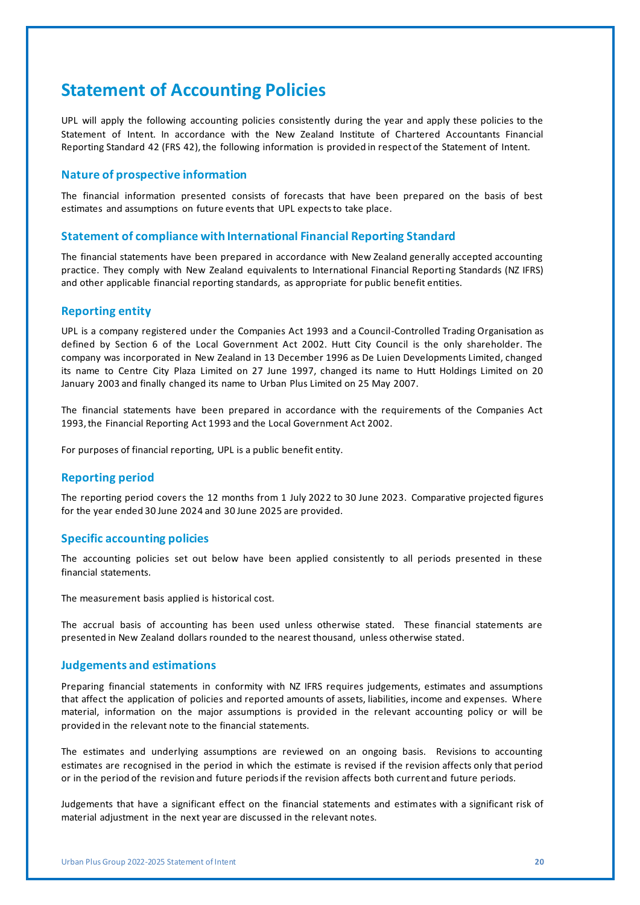# **Statement of Accounting Policies**

UPL will apply the following accounting policies consistently during the year and apply these policies to the Statement of Intent. In accordance with the New Zealand Institute of Chartered Accountants Financial Reporting Standard 42 (FRS 42), the following information is provided in respect of the Statement of Intent.

## **Nature of prospective information**

The financial information presented consists of forecasts that have been prepared on the basis of best estimates and assumptions on future events that UPL expects to take place.

## **Statement of compliance with International Financial Reporting Standard**

The financial statements have been prepared in accordance with New Zealand generally accepted accounting practice. They comply with New Zealand equivalents to International Financial Reporting Standards (NZ IFRS) and other applicable financial reporting standards, as appropriate for public benefit entities.

## **Reporting entity**

UPL is a company registered under the Companies Act 1993 and a Council-Controlled Trading Organisation as defined by Section 6 of the Local Government Act 2002. Hutt City Council is the only shareholder. The company was incorporated in New Zealand in 13 December 1996 as De Luien Developments Limited, changed its name to Centre City Plaza Limited on 27 June 1997, changed its name to Hutt Holdings Limited on 20 January 2003 and finally changed its name to Urban Plus Limited on 25 May 2007.

The financial statements have been prepared in accordance with the requirements of the Companies Act 1993, the Financial Reporting Act 1993 and the Local Government Act 2002.

For purposes of financial reporting, UPL is a public benefit entity.

## **Reporting period**

The reporting period covers the 12 months from 1 July 2022 to 30 June 2023. Comparative projected figures for the year ended 30 June 2024 and 30 June 2025 are provided.

## **Specific accounting policies**

The accounting policies set out below have been applied consistently to all periods presented in these financial statements.

The measurement basis applied is historical cost.

The accrual basis of accounting has been used unless otherwise stated. These financial statements are presented in New Zealand dollars rounded to the nearest thousand, unless otherwise stated.

## **Judgements and estimations**

Preparing financial statements in conformity with NZ IFRS requires judgements, estimates and assumptions that affect the application of policies and reported amounts of assets, liabilities, income and expenses. Where material, information on the major assumptions is provided in the relevant accounting policy or will be provided in the relevant note to the financial statements.

The estimates and underlying assumptions are reviewed on an ongoing basis. Revisions to accounting estimates are recognised in the period in which the estimate is revised if the revision affects only that period or in the period of the revision and future periods if the revision affects both current and future periods.

Judgements that have a significant effect on the financial statements and estimates with a significant risk of material adjustment in the next year are discussed in the relevant notes.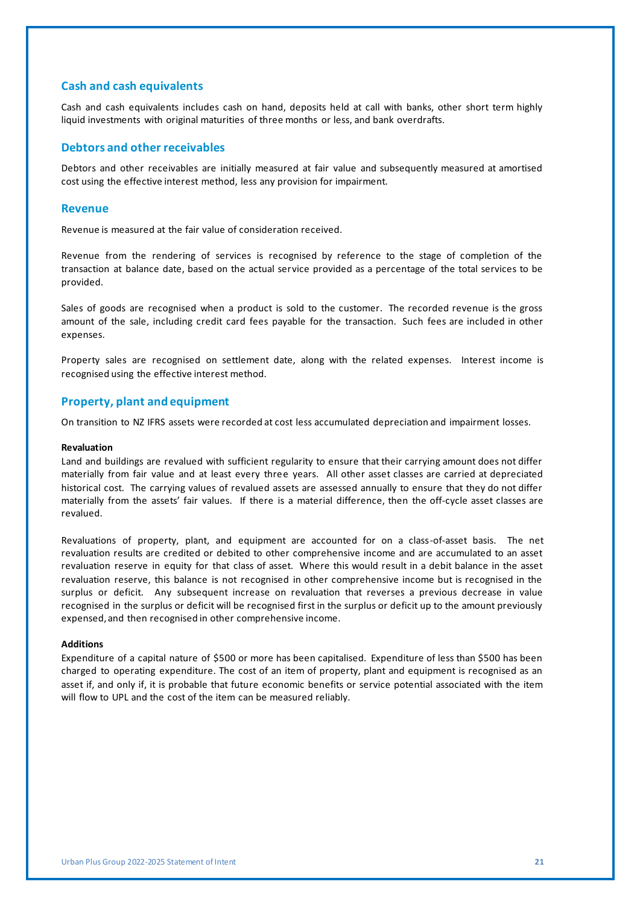## **Cash and cash equivalents**

Cash and cash equivalents includes cash on hand, deposits held at call with banks, other short term highly liquid investments with original maturities of three months or less, and bank overdrafts.

## **Debtors and other receivables**

Debtors and other receivables are initially measured at fair value and subsequently measured at amortised cost using the effective interest method, less any provision for impairment.

## **Revenue**

Revenue is measured at the fair value of consideration received.

Revenue from the rendering of services is recognised by reference to the stage of completion of the transaction at balance date, based on the actual service provided as a percentage of the total services to be provided.

Sales of goods are recognised when a product is sold to the customer. The recorded revenue is the gross amount of the sale, including credit card fees payable for the transaction. Such fees are included in other expenses.

Property sales are recognised on settlement date, along with the related expenses. Interest income is recognised using the effective interest method.

## **Property, plant and equipment**

On transition to NZ IFRS assets were recorded at cost less accumulated depreciation and impairment losses.

#### **Revaluation**

Land and buildings are revalued with sufficient regularity to ensure that their carrying amount does not differ materially from fair value and at least every three years. All other asset classes are carried at depreciated historical cost. The carrying values of revalued assets are assessed annually to ensure that they do not differ materially from the assets' fair values. If there is a material difference, then the off-cycle asset classes are revalued.

Revaluations of property, plant, and equipment are accounted for on a class-of-asset basis. The net revaluation results are credited or debited to other comprehensive income and are accumulated to an asset revaluation reserve in equity for that class of asset. Where this would result in a debit balance in the asset revaluation reserve, this balance is not recognised in other comprehensive income but is recognised in the surplus or deficit. Any subsequent increase on revaluation that reverses a previous decrease in value recognised in the surplus or deficit will be recognised first in the surplus or deficit up to the amount previously expensed, and then recognised in other comprehensive income.

#### **Additions**

Expenditure of a capital nature of \$500 or more has been capitalised. Expenditure of less than \$500 has been charged to operating expenditure. The cost of an item of property, plant and equipment is recognised as an asset if, and only if, it is probable that future economic benefits or service potential associated with the item will flow to UPL and the cost of the item can be measured reliably.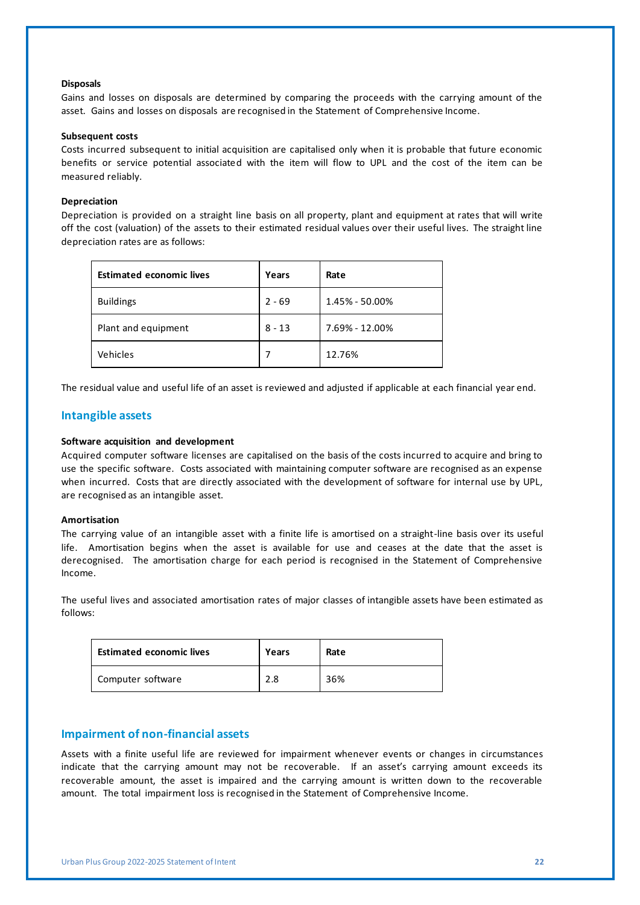### **Disposals**

Gains and losses on disposals are determined by comparing the proceeds with the carrying amount of the asset. Gains and losses on disposals are recognised in the Statement of Comprehensive Income.

### **Subsequent costs**

Costs incurred subsequent to initial acquisition are capitalised only when it is probable that future economic benefits or service potential associated with the item will flow to UPL and the cost of the item can be measured reliably.

### **Depreciation**

Depreciation is provided on a straight line basis on all property, plant and equipment at rates that will write off the cost (valuation) of the assets to their estimated residual values over their useful lives. The straight line depreciation rates are as follows:

| <b>Estimated economic lives</b> | Years    | Rate               |
|---------------------------------|----------|--------------------|
| <b>Buildings</b>                | $2 - 69$ | $1.45\% - 50.00\%$ |
| Plant and equipment             | $8 - 13$ | 7.69% - 12.00%     |
| Vehicles                        |          | 12.76%             |

The residual value and useful life of an asset is reviewed and adjusted if applicable at each financial year end.

### **Intangible assets**

#### **Software acquisition and development**

Acquired computer software licenses are capitalised on the basis of the costs incurred to acquire and bring to use the specific software. Costs associated with maintaining computer software are recognised as an expense when incurred. Costs that are directly associated with the development of software for internal use by UPL, are recognised as an intangible asset.

#### **Amortisation**

The carrying value of an intangible asset with a finite life is amortised on a straight-line basis over its useful life. Amortisation begins when the asset is available for use and ceases at the date that the asset is derecognised. The amortisation charge for each period is recognised in the Statement of Comprehensive Income.

The useful lives and associated amortisation rates of major classes of intangible assets have been estimated as follows:

| <b>Estimated economic lives</b> | Years | Rate |
|---------------------------------|-------|------|
| Computer software               |       | 36%  |

# **Impairment of non-financial assets**

Assets with a finite useful life are reviewed for impairment whenever events or changes in circumstances indicate that the carrying amount may not be recoverable. If an asset's carrying amount exceeds its recoverable amount, the asset is impaired and the carrying amount is written down to the recoverable amount. The total impairment loss is recognised in the Statement of Comprehensive Income.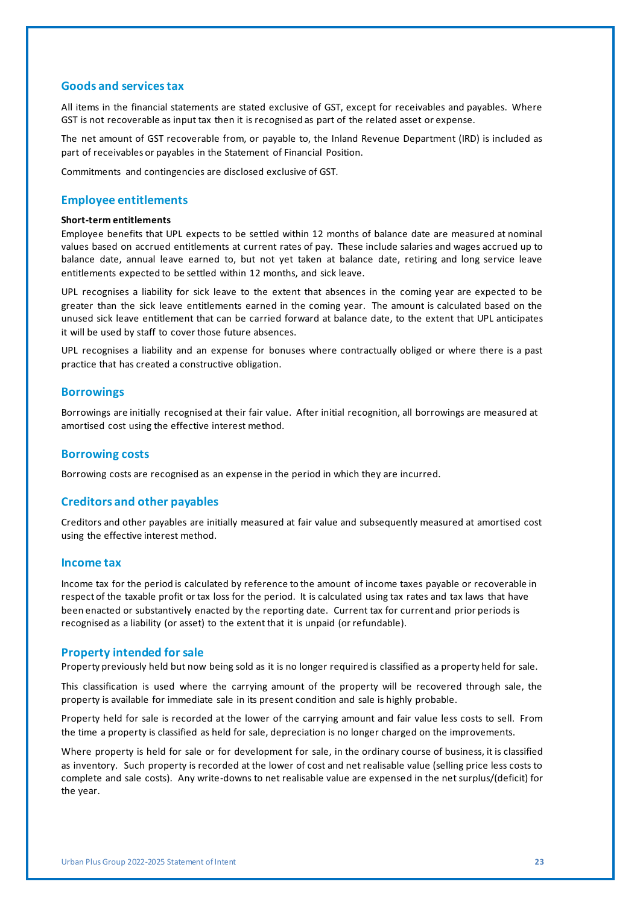# **Goods and services tax**

All items in the financial statements are stated exclusive of GST, except for receivables and payables. Where GST is not recoverable as input tax then it is recognised as part of the related asset or expense.

The net amount of GST recoverable from, or payable to, the Inland Revenue Department (IRD) is included as part of receivables or payables in the Statement of Financial Position.

Commitments and contingencies are disclosed exclusive of GST.

## **Employee entitlements**

#### **Short-term entitlements**

Employee benefits that UPL expects to be settled within 12 months of balance date are measured at nominal values based on accrued entitlements at current rates of pay. These include salaries and wages accrued up to balance date, annual leave earned to, but not yet taken at balance date, retiring and long service leave entitlements expected to be settled within 12 months, and sick leave.

UPL recognises a liability for sick leave to the extent that absences in the coming year are expected to be greater than the sick leave entitlements earned in the coming year. The amount is calculated based on the unused sick leave entitlement that can be carried forward at balance date, to the extent that UPL anticipates it will be used by staff to cover those future absences.

UPL recognises a liability and an expense for bonuses where contractually obliged or where there is a past practice that has created a constructive obligation.

#### **Borrowings**

Borrowings are initially recognised at their fair value. After initial recognition, all borrowings are measured at amortised cost using the effective interest method.

#### **Borrowing costs**

Borrowing costs are recognised as an expense in the period in which they are incurred.

### **Creditors and other payables**

Creditors and other payables are initially measured at fair value and subsequently measured at amortised cost using the effective interest method.

#### **Income tax**

Income tax for the period is calculated by reference to the amount of income taxes payable or recoverable in respect of the taxable profit or tax loss for the period. It is calculated using tax rates and tax laws that have been enacted or substantively enacted by the reporting date. Current tax for current and prior periods is recognised as a liability (or asset) to the extent that it is unpaid (or refundable).

## **Property intended for sale**

Property previously held but now being sold as it is no longer required is classified as a property held for sale.

This classification is used where the carrying amount of the property will be recovered through sale, the property is available for immediate sale in its present condition and sale is highly probable.

Property held for sale is recorded at the lower of the carrying amount and fair value less costs to sell. From the time a property is classified as held for sale, depreciation is no longer charged on the improvements.

Where property is held for sale or for development for sale, in the ordinary course of business, it is classified as inventory. Such property is recorded at the lower of cost and net realisable value (selling price less costs to complete and sale costs). Any write-downs to net realisable value are expensed in the net surplus/(deficit) for the year.